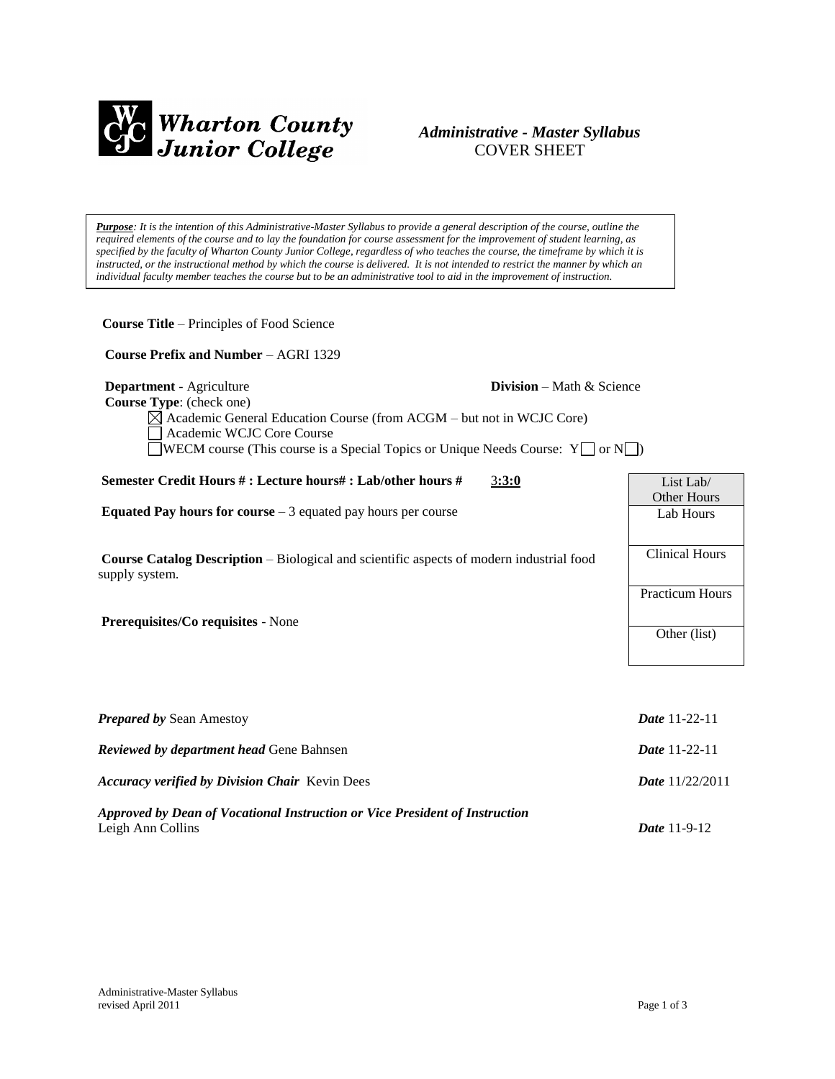

# *Administrative - Master Syllabus*  COVER SHEET

*Purpose: It is the intention of this Administrative-Master Syllabus to provide a general description of the course, outline the required elements of the course and to lay the foundation for course assessment for the improvement of student learning, as specified by the faculty of Wharton County Junior College, regardless of who teaches the course, the timeframe by which it is instructed, or the instructional method by which the course is delivered. It is not intended to restrict the manner by which an individual faculty member teaches the course but to be an administrative tool to aid in the improvement of instruction.*

| <b>Course Title – Principles of Food Science</b>                                                                                                                                                                                                           |                                                 |  |
|------------------------------------------------------------------------------------------------------------------------------------------------------------------------------------------------------------------------------------------------------------|-------------------------------------------------|--|
| Course Prefix and Number - AGRI 1329                                                                                                                                                                                                                       |                                                 |  |
| Department - Agriculture<br>Course Type: (check one)<br>$\boxtimes$ Academic General Education Course (from ACGM – but not in WCJC Core)<br>Academic WCJC Core Course<br>WECM course (This course is a Special Topics or Unique Needs Course: $Y \cap Y$ ) | Division - Math & Science                       |  |
| Semester Credit Hours #: Lecture hours#: Lab/other hours #                                                                                                                                                                                                 | 3:3:0<br>List Lab/                              |  |
| <b>Equated Pay hours for course</b> $-3$ equated pay hours per course                                                                                                                                                                                      | Other Hours<br>Lab Hours                        |  |
| <b>Course Catalog Description</b> – Biological and scientific aspects of modern industrial food<br>supply system.                                                                                                                                          | <b>Clinical Hours</b><br><b>Practicum Hours</b> |  |
| Prerequisites/Co requisites - None                                                                                                                                                                                                                         | Other (list)                                    |  |
|                                                                                                                                                                                                                                                            |                                                 |  |
| <b>Prepared by Sean Amestoy</b>                                                                                                                                                                                                                            | Date 11-22-11                                   |  |
| Reviewed by department head Gene Bahnsen                                                                                                                                                                                                                   | <b>Date 11-22-11</b>                            |  |
| <b>Accuracy verified by Division Chair Kevin Dees</b>                                                                                                                                                                                                      | Date 11/22/2011                                 |  |
| Approved by Dean of Vocational Instruction or Vice President of Instruction<br>Leigh Ann Collins                                                                                                                                                           | Date 11-9-12                                    |  |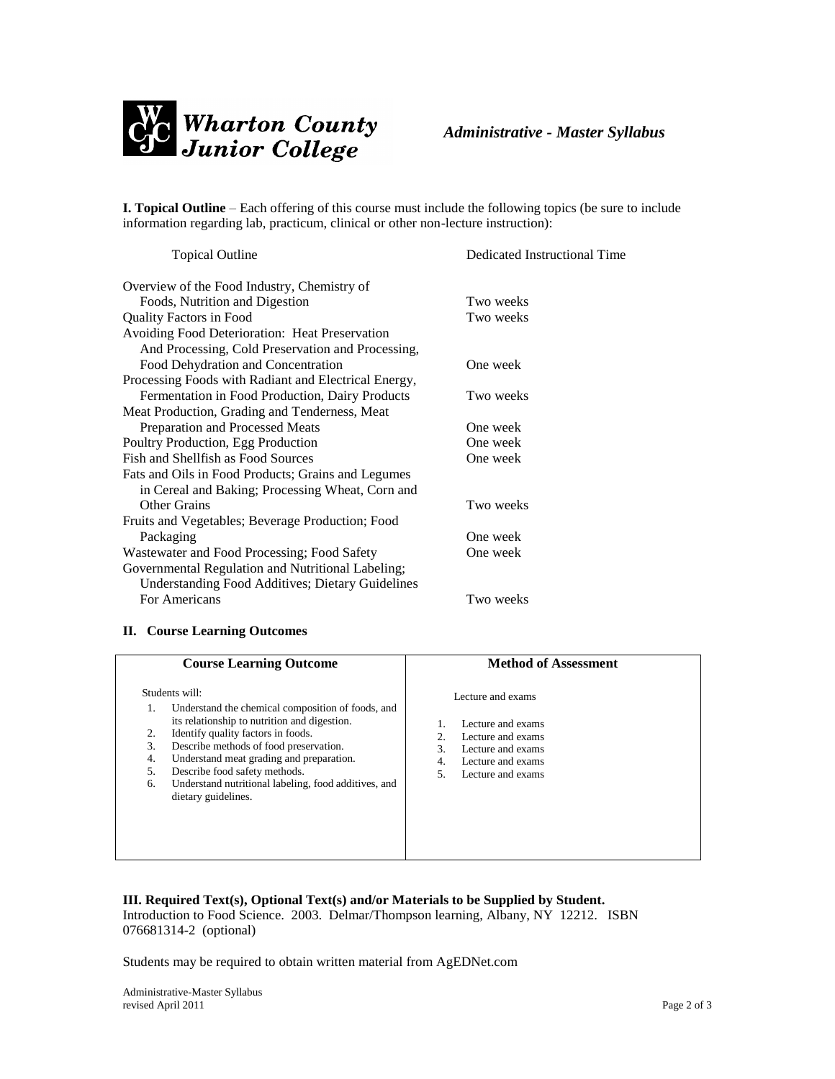

**I. Topical Outline** – Each offering of this course must include the following topics (be sure to include information regarding lab, practicum, clinical or other non-lecture instruction):

| <b>Topical Outline</b>                                  | Dedicated Instructional Time |
|---------------------------------------------------------|------------------------------|
| Overview of the Food Industry, Chemistry of             |                              |
| Foods, Nutrition and Digestion                          | Two weeks                    |
| <b>Quality Factors in Food</b>                          | Two weeks                    |
| Avoiding Food Deterioration: Heat Preservation          |                              |
| And Processing, Cold Preservation and Processing,       |                              |
| Food Dehydration and Concentration                      | One week                     |
| Processing Foods with Radiant and Electrical Energy,    |                              |
| Fermentation in Food Production, Dairy Products         | Two weeks                    |
| Meat Production, Grading and Tenderness, Meat           |                              |
| Preparation and Processed Meats                         | One week                     |
| Poultry Production, Egg Production                      | One week                     |
| Fish and Shellfish as Food Sources                      | One week                     |
| Fats and Oils in Food Products; Grains and Legumes      |                              |
| in Cereal and Baking; Processing Wheat, Corn and        |                              |
| Other Grains                                            | Two weeks                    |
| Fruits and Vegetables; Beverage Production; Food        |                              |
| Packaging                                               | One week                     |
| Wastewater and Food Processing; Food Safety             | One week                     |
| Governmental Regulation and Nutritional Labeling;       |                              |
| <b>Understanding Food Additives; Dietary Guidelines</b> |                              |
| For Americans                                           | Two weeks                    |

# **II. Course Learning Outcomes**

| <b>Course Learning Outcome</b>                                                                                                                                                                                                                                                                                                                                                                 | <b>Method of Assessment</b>                                                                                                                                   |
|------------------------------------------------------------------------------------------------------------------------------------------------------------------------------------------------------------------------------------------------------------------------------------------------------------------------------------------------------------------------------------------------|---------------------------------------------------------------------------------------------------------------------------------------------------------------|
| Students will:<br>Understand the chemical composition of foods, and<br>1.<br>its relationship to nutrition and digestion.<br>Identify quality factors in foods.<br>Describe methods of food preservation.<br>3.<br>Understand meat grading and preparation.<br>4.<br>Describe food safety methods.<br>.5.<br>Understand nutritional labeling, food additives, and<br>6.<br>dietary guidelines. | Lecture and exams<br>Lecture and exams<br>Lecture and exams<br>2.<br>$\mathcal{R}$<br>Lecture and exams<br>Lecture and exams<br>4.<br>Lecture and exams<br>5. |

## **III. Required Text(s), Optional Text(s) and/or Materials to be Supplied by Student.** Introduction to Food Science. 2003. Delmar/Thompson learning, Albany, NY 12212. ISBN 076681314-2 (optional)

Students may be required to obtain written material from AgEDNet.com